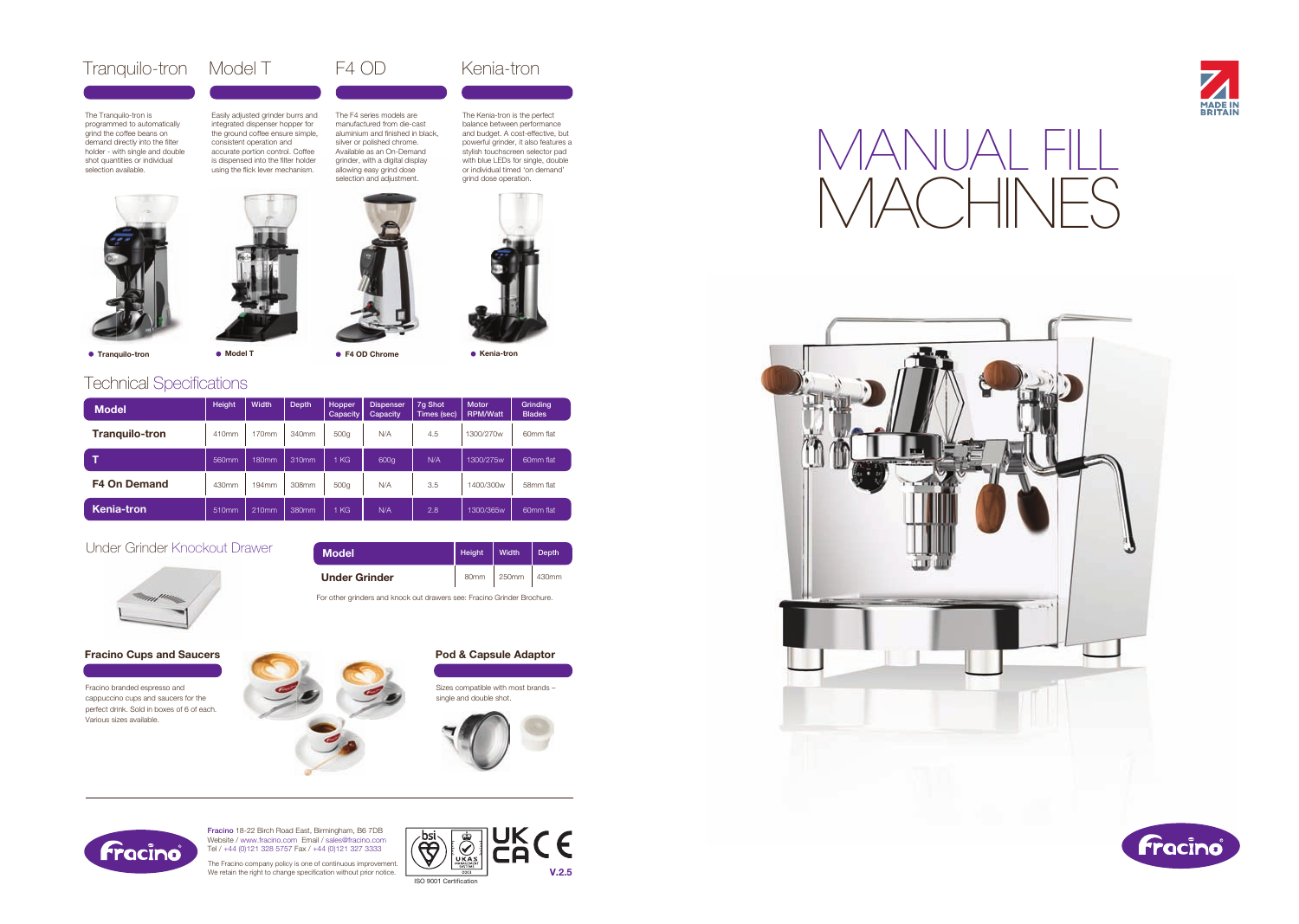Fracino branded espresso and cappuccino cups and saucers for the perfect drink. Sold in boxes of 6 of each. Various sizes available.



## Fracino Cups and Saucers

The Fracino company policy is one of continuous improvement. We retain the right to change specification without prior notice. Sizes compatible with most brands – single and double shot.



Pod & Capsule Adaptor



# **Technical Specifications**

● Tranquilo-tron

Fracino 18-22 Birch Road East, Birmingham, B6 7DB Website / www.fracino.com Email / sales@fracino.com Tel / +44 (0)121 328 5757 Fax / +44 (0)121 327 3333

# Tranquilo-tron Model T F4 OD Kenia-tron

The Tranquilo-tron is programmed to automatically grind the coffee beans on demand directly into the filter holder - with single and double shot quantities or individual selection available.



# MANUAL FILL

Easily adjusted grinder burrs and integrated dispenser hopper for the ground coffee ensure simple, consistent operation and accurate portion control. Coffee is dispensed into the filter holder using the flick lever mechanism.

| <b>Model</b>          | Height | Width | <b>Depth</b> | Hopper<br>Capacity | <b>Dispenser</b><br>Capacity | 7q Shot<br>Times (sec) | <b>Motor</b><br><b>RPM/Watt</b> | Grinding<br><b>Blades</b> |
|-----------------------|--------|-------|--------------|--------------------|------------------------------|------------------------|---------------------------------|---------------------------|
| <b>Tranquilo-tron</b> | 410mm  | 170mm | 340mm        | 500g               | N/A                          | 4.5                    | 1300/270w                       | 60mm flat                 |
|                       | 560mm  | 180mm | 310mm        | KG                 | 600g                         | N/A                    | 1300/275w                       | 60mm flat                 |
| <b>F4 On Demand</b>   | 430mm  | 194mm | 308mm        | 500g               | N/A                          | 3.5                    | 1400/300w                       | 58mm flat                 |
| <b>Kenia-tron</b>     | 510mm  | 210mm | 380mm        | KG                 | N/A                          | 2.8                    | 1300/365w                       | 60mm flat                 |

# Under Grinder Knockout Drawer



UK<br>CA CE -bsi **EER**  $\bigotimes$ UKAS V.2.5

ISO 9001 Certification





The F4 series models are manufactured from die-cast aluminium and finished in black, silver or polished chrome. grind dose operation.

The Kenia-tron is the perfect balance between performance and budget. A cost-effective, but powerful grinder, it also features a stylish touchscreen selector pad with blue LEDs for single, double or individual timed 'on demand'



● Model T ● F4 OD Chrome ● Kenia-tron

 $|\triangle \cap$ 

| <b>Model</b>         | Height           | <b>Width</b> | Depth |
|----------------------|------------------|--------------|-------|
| <b>Under Grinder</b> | 80 <sub>mm</sub> | 250mm 430mm  |       |

For other grinders and knock out drawers see: Fracino Grinder Brochure.